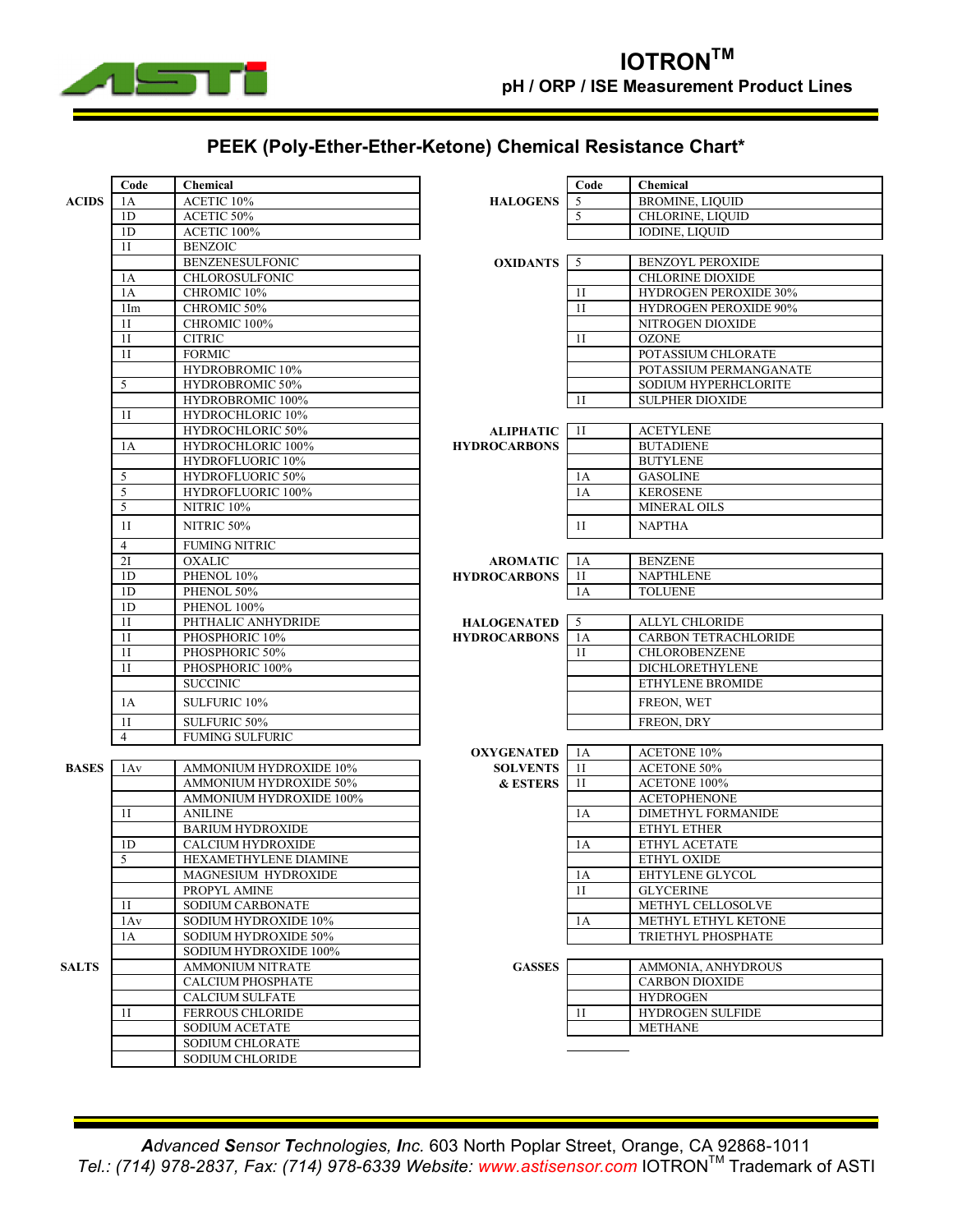

## **PEEK (Poly-Ether-Ether-Ketone) Chemical Resistance Chart\***

|              | Code            | <b>Chemical</b>                                      | Code                |                | Chemical                     |
|--------------|-----------------|------------------------------------------------------|---------------------|----------------|------------------------------|
| <b>ACIDS</b> | 1A              | ACETIC 10%                                           | <b>HALOGENS</b>     | 5              | <b>BROMINE, LIQUID</b>       |
|              | 1 <sub>D</sub>  | ACETIC 50%                                           |                     | 5              | CHLORINE, LIQUID             |
|              | 1D              | ACETIC 100%                                          |                     |                | <b>IODINE, LIOUID</b>        |
|              | 1I              | <b>BENZOIC</b>                                       |                     |                |                              |
|              |                 | <b>BENZENESULFONIC</b>                               | <b>OXIDANTS</b>     | 5              | <b>BENZOYL PEROXIDE</b>      |
|              | 1A              | <b>CHLOROSULFONIC</b>                                |                     |                | <b>CHLORINE DIOXIDE</b>      |
|              | 1A              | CHROMIC 10%                                          |                     | 1 <sub>I</sub> | <b>HYDROGEN PEROXIDE 30%</b> |
|              | 1 <sub>Im</sub> | CHROMIC 50%                                          |                     | 1 <sub>I</sub> | <b>HYDROGEN PEROXIDE 90%</b> |
|              | 11              | CHROMIC 100%                                         |                     |                | NITROGEN DIOXIDE             |
|              | 1I              | <b>CITRIC</b>                                        |                     | 1 <sub>I</sub> | <b>OZONE</b>                 |
|              | 1 <sub>I</sub>  | <b>FORMIC</b>                                        |                     |                | POTASSIUM CHLORATE           |
|              |                 | HYDROBROMIC 10%                                      |                     |                | POTASSIUM PERMANGANATE       |
|              | 5               | HYDROBROMIC 50%                                      |                     |                | SODIUM HYPERHCLORITE         |
|              |                 | HYDROBROMIC 100%                                     |                     | 11             | <b>SULPHER DIOXIDE</b>       |
|              | 11              | HYDROCHLORIC 10%                                     |                     |                |                              |
|              |                 | HYDROCHLORIC 50%                                     | <b>ALIPHATIC</b>    | 1 <sub>I</sub> | <b>ACETYLENE</b>             |
|              | 1A              | HYDROCHLORIC 100%                                    | <b>HYDROCARBONS</b> |                | <b>BUTADIENE</b>             |
|              |                 | HYDROFLUORIC 10%                                     |                     |                | <b>BUTYLENE</b>              |
|              | 5               | HYDROFLUORIC 50%                                     |                     | 1A             | <b>GASOLINE</b>              |
|              | 5               | <b>HYDROFLUORIC 100%</b>                             |                     | 1A             | <b>KEROSENE</b>              |
|              | 5               | NITRIC 10%                                           |                     |                | MINERAL OILS                 |
|              | 11              | NITRIC 50%                                           |                     | 1I             | <b>NAPTHA</b>                |
|              | $\overline{4}$  | <b>FUMING NITRIC</b>                                 |                     |                |                              |
|              | 2I              | <b>OXALIC</b>                                        | <b>AROMATIC</b>     | 1A             | <b>BENZENE</b>               |
|              | 1 <sub>D</sub>  | PHENOL 10%                                           | <b>HYDROCARBONS</b> | 11             | <b>NAPTHLENE</b>             |
|              | 1D              | PHENOL 50%                                           |                     | 1A             | <b>TOLUENE</b>               |
|              | 1D              | PHENOL 100%                                          |                     |                |                              |
|              | 1I              | PHTHALIC ANHYDRIDE                                   | <b>HALOGENATED</b>  | 5              | ALLYL CHLORIDE               |
|              | 1 <sub>I</sub>  | PHOSPHORIC 10%                                       | <b>HYDROCARBONS</b> | 1A             | <b>CARBON TETRACHLORIDE</b>  |
|              | 11              | PHOSPHORIC 50%                                       |                     | 11             | CHLOROBENZENE                |
|              | 1I              | PHOSPHORIC 100%                                      |                     |                | DICHLORETHYLENE              |
|              |                 | <b>SUCCINIC</b>                                      |                     |                | ETHYLENE BROMIDE             |
|              | 1A              | SULFURIC 10%                                         |                     |                | FREON, WET                   |
|              | 1I              | SULFURIC 50%                                         |                     |                | FREON, DRY                   |
|              | $\overline{4}$  | <b>FUMING SULFURIC</b>                               |                     |                |                              |
|              |                 |                                                      | <b>OXYGENATED</b>   | 1A             | ACETONE 10%                  |
| <b>BASES</b> | 1Av             | AMMONIUM HYDROXIDE 10%                               | <b>SOLVENTS</b>     | 1I             | <b>ACETONE 50%</b>           |
|              |                 | AMMONIUM HYDROXIDE 50%                               | <b>&amp; ESTERS</b> | 11             | ACETONE 100%                 |
|              |                 | AMMONIUM HYDROXIDE 100%                              |                     |                | <b>ACETOPHENONE</b>          |
|              | 11              | <b>ANILINE</b>                                       |                     | 1A             | DIMETHYL FORMANIDE           |
|              |                 | <b>BARIUM HYDROXIDE</b>                              |                     |                | ETHYL ETHER                  |
|              | 1 <sub>D</sub>  | <b>CALCIUM HYDROXIDE</b>                             |                     | 1A             | ETHYL ACETATE                |
|              | 5               | HEXAMETHYLENE DIAMINE                                |                     |                | ETHYL OXIDE                  |
|              |                 | MAGNESIUM HYDROXIDE                                  |                     | 1A             | EHTYLENE GLYCOL              |
|              |                 | PROPYL AMINE                                         |                     | 1 <sub>I</sub> | <b>GLYCERINE</b>             |
|              | 11              | <b>SODIUM CARBONATE</b>                              |                     |                | METHYL CELLOSOLVE            |
|              | 1Av             | SODIUM HYDROXIDE 10%                                 |                     | 1A             | METHYL ETHYL KETONE          |
|              | 1A              | <b>SODIUM HYDROXIDE 50%</b><br>SODIUM HYDROXIDE 100% |                     |                | TRIETHYL PHOSPHATE           |
| <b>SALTS</b> |                 | <b>AMMONIUM NITRATE</b>                              | <b>GASSES</b>       |                | AMMONIA, ANHYDROUS           |
|              |                 | <b>CALCIUM PHOSPHATE</b>                             |                     |                | <b>CARBON DIOXIDE</b>        |
|              |                 | <b>CALCIUM SULFATE</b>                               |                     |                | <b>HYDROGEN</b>              |
|              | 11              | <b>FERROUS CHLORIDE</b>                              |                     | 11             | HYDROGEN SULFIDE             |
|              |                 | <b>SODIUM ACETATE</b>                                |                     |                | <b>METHANE</b>               |
|              |                 | SODIUM CHLORATE                                      |                     |                |                              |
|              |                 | <b>SODIUM CHLORIDE</b>                               |                     |                |                              |
|              |                 |                                                      |                     |                |                              |